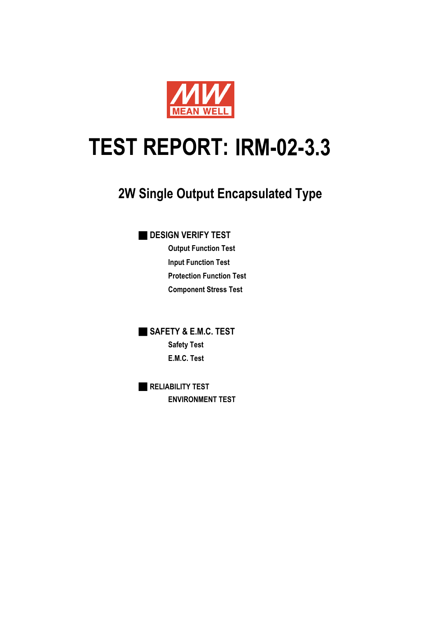

# **IRM-02-3.3 TEST REPORT:**

# **2W Single Output Encapsulated Type**

■ **DESIGN VERIFY TEST**

**Output Function Test Input Function Test Protection Function Test Component Stress Test**

■ **SAFETY & E.M.C. TEST Safety Test E.M.C. Test**

■ **RELIABILITY TEST ENVIRONMENT TEST**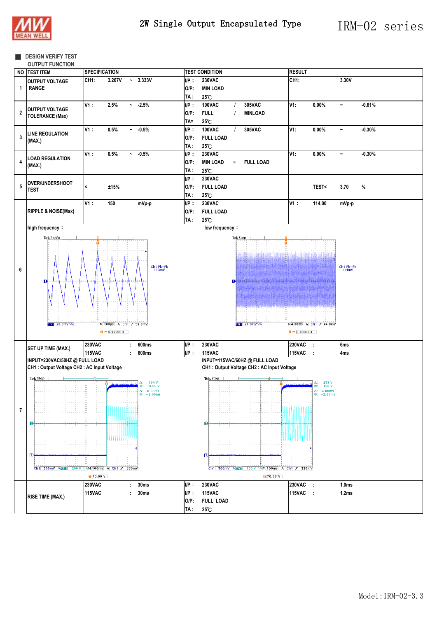

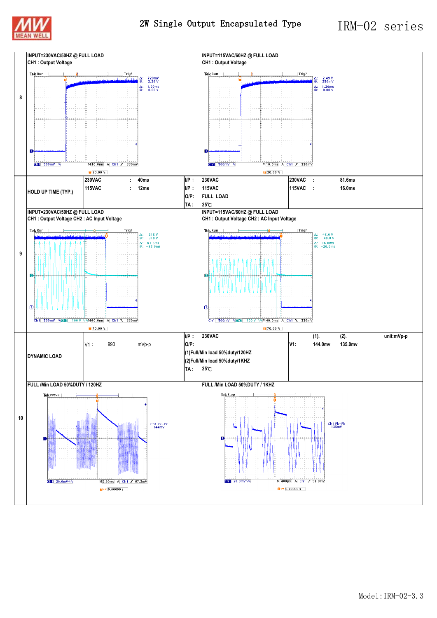



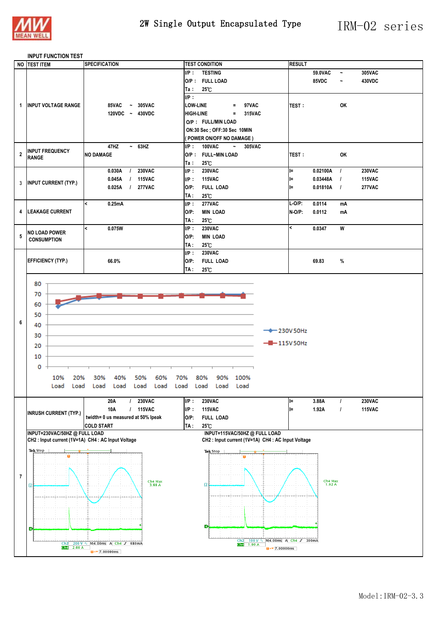

#### **INPUT FUNCTION TEST**

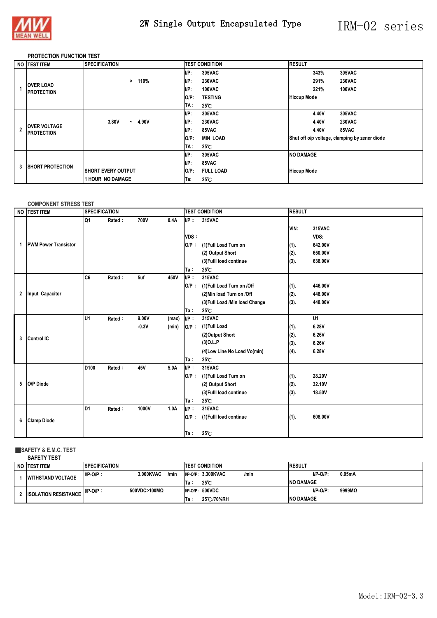

### 2W Single Output Encapsulated Type IRM-02 series

#### **PROTECTION FUNCTION TEST**

|                         | NO TEST ITEM                             | <b>SPECIFICATION</b>       | <b>TEST CONDITION</b>       | <b>RESULT</b>                                 |  |
|-------------------------|------------------------------------------|----------------------------|-----------------------------|-----------------------------------------------|--|
|                         |                                          |                            | $I/P$ :<br>305VAC           | 305VAC<br>343%                                |  |
|                         | <b>OVER LOAD</b>                         | 110%<br>>                  | $I/P$ :<br><b>230VAC</b>    | <b>230VAC</b><br>291%                         |  |
|                         | <b>IPROTECTION</b>                       |                            | $I/P$ :<br>100VAC           | 221%<br>100VAC                                |  |
|                         |                                          |                            | <b>TESTING</b><br>$O/P$ :   | <b>Hiccup Mode</b>                            |  |
|                         |                                          |                            | TA :<br>$25^{\circ}$ C      |                                               |  |
|                         | <b>OVER VOLTAGE</b><br><b>PROTECTION</b> |                            | $I/P$ :<br>305VAC           | <b>305VAC</b><br>4.40V                        |  |
|                         |                                          | 3.80V<br>4.90V<br>$\sim$   | $I/P$ :<br><b>230VAC</b>    | <b>230VAC</b><br>4.40V                        |  |
| $\overline{\mathbf{c}}$ |                                          |                            | I/P:<br>85VAC               | 4.40V<br>85VAC                                |  |
|                         |                                          |                            | <b>MIN LOAD</b><br>$O/P$ :  | Shut off o/p voltage, clamping by zener diode |  |
|                         |                                          |                            | $25^{\circ}$ C<br>TA :      |                                               |  |
|                         |                                          |                            | UP:<br>305VAC               | <b>NO DAMAGE</b>                              |  |
| 3                       | <b>ISHORT PROTECTION</b>                 |                            | $I/P$ :<br>85VAC            |                                               |  |
|                         |                                          | <b>ISHORT EVERY OUTPUT</b> | $O/P$ :<br><b>FULL LOAD</b> | <b>Hiccup Mode</b>                            |  |
|                         |                                          | <b>1 HOUR NO DAMAGE</b>    | $25^{\circ}$ C<br>Ta:       |                                               |  |

#### **COMPONENT STRESS TEST**

| <b>NO</b>    | <b>TEST ITEM</b>            | <b>SPECIFICATION</b> |        |         |       | <b>TEST CONDITION</b> |                                 | <b>RESULT</b> |                |
|--------------|-----------------------------|----------------------|--------|---------|-------|-----------------------|---------------------------------|---------------|----------------|
|              |                             | Q1                   | Rated: | 700V    | 0.4A  | $I/P$ :<br>VDS:       | 315VAC                          | VIN:          | 315VAC<br>VDS: |
| $\mathbf{1}$ | <b>PWM Power Transistor</b> |                      |        |         |       | $O/P$ :               | (1) Full Load Turn on           | (1).          | 642.00V        |
|              |                             |                      |        |         |       |                       | (2) Output Short                | (2).          | 650.00V        |
|              |                             |                      |        |         |       |                       | (3) Fulll load continue         | (3).          | 638.00V        |
|              |                             |                      |        |         |       | Ta:                   | 25°C                            |               |                |
|              |                             | C <sub>6</sub>       | Rated: | 5uf     | 450V  | $I/P$ :               | 315VAC                          |               |                |
|              |                             |                      |        |         |       | $O/P$ :               | (1) Full Load Turn on /Off      | (1).          | 446.00V        |
| $\mathbf{2}$ | Input Capacitor             |                      |        |         |       |                       | (2) Min load Turn on /Off       | (2).          | 448.00V        |
|              |                             |                      |        |         |       |                       | (3) Full Load / Min load Change | (3).          | 448.00V        |
|              |                             |                      |        |         |       | Ta:                   | $25^{\circ}$ C                  |               |                |
|              |                             | lu1                  | Rated: | 9.00V   | (max) | $IIP$ :               | 315VAC                          |               | U1             |
|              | <b>Control IC</b>           |                      |        | $-0.3V$ | (min) | $O/P$ :               | (1)Full Load                    | (1).          | 6.28V          |
| 3            |                             |                      |        |         |       |                       | (2)Output Short                 | (2).          | 6.26V          |
|              |                             |                      |        |         |       |                       | $(3)$ O.L.P                     | (3).          | 6.26V          |
|              |                             |                      |        |         |       |                       | (4) Low Line No Load Vo(min)    | (4).          | 6.28V          |
|              |                             |                      |        |         |       | Ta:                   | $25^{\circ}$ C                  |               |                |
|              |                             | D <sub>100</sub>     | Rated: | 45V     | 5.0A  | UP:                   | 315VAC                          |               |                |
| 5            |                             |                      |        |         |       | $O/P$ :               | (1) Full Load Turn on           | (1).          | 28.20V         |
|              | O/P Diode                   |                      |        |         |       |                       | (2) Output Short                | (2).          | 32.10V         |
|              |                             |                      |        |         |       |                       | (3) Fulll load continue         | (3).          | 18.50V         |
|              |                             |                      |        |         |       | Ta:                   | 25°C                            |               |                |
|              |                             | ID1                  | Rated: | 1000V   | 1.0A  | $I/P$ :               | 315VAC                          |               |                |
| 6            | <b>Clamp Diode</b>          |                      |        |         |       | $O/P$ :               | (1) Fulll load continue         | (1).          | 608.00V        |
|              |                             |                      |        |         |       |                       |                                 |               |                |
|              |                             |                      |        |         |       | Ta:                   | 25°C                            |               |                |

#### ■**SAFETY & E.M.C. TEST**

| <b>SAFETY TEST</b>          |                      |                   |                                           |        |  |  |  |  |  |
|-----------------------------|----------------------|-------------------|-------------------------------------------|--------|--|--|--|--|--|
| NO ITEST ITEM               | <b>SPECIFICATION</b> |                   | <b>ITEST CONDITION</b><br><b>RESULT</b>   |        |  |  |  |  |  |
| <b>WITHSTAND VOLTAGE</b>    | $I/P-O/P$ :          | 3.000KVAC<br>/min | $I/P-O/P$ :<br>I/P-O/P: 3.300KVAC<br>/min | 0.05mA |  |  |  |  |  |
|                             |                      |                   | $25^\circ$<br>lTa :<br><b>INO DAMAGE</b>  |        |  |  |  |  |  |
| <b>ISOLATION RESISTANCE</b> | $I/P-O/P$ :          | 500VDC>100MQ      | $I/P-O/P$ :<br>I/P-O/P: 500VDC            | 9999MΩ |  |  |  |  |  |
|                             |                      |                   | <b>INO DAMAGE</b><br>25 C /70%RH<br>lTa ∶ |        |  |  |  |  |  |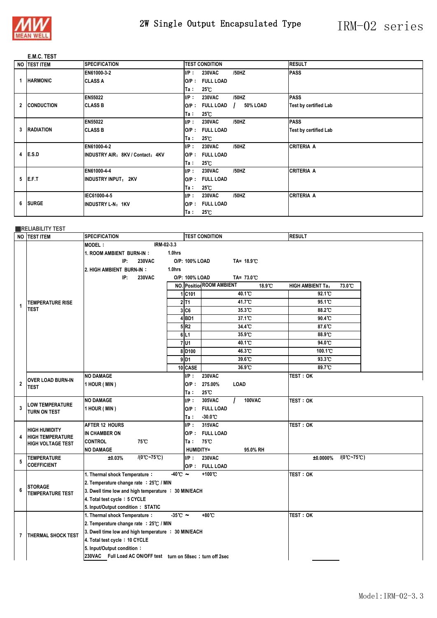

## 2W Single Output Encapsulated Type IRM-02 series

#### **E.M.C. TEST**

| NO <b>TEST ITEM</b> | <b>SPECIFICATION</b>             |         | <b>TEST CONDITION</b> |          | <b>RESULT</b>                |
|---------------------|----------------------------------|---------|-----------------------|----------|------------------------------|
|                     | EN61000-3-2                      | $I/P$ : | <b>230VAC</b>         | /50HZ    | <b>PASS</b>                  |
| <b>HARMONIC</b>     | <b>CLASS A</b>                   | $O/P$ : | <b>FULL LOAD</b>      |          |                              |
|                     |                                  | Ta∶     | $25^{\circ}$ C        |          |                              |
|                     | EN55022                          | $I/P$ : | <b>230VAC</b>         | /50HZ    | <b>PASS</b>                  |
| 2 CONDUCTION        | <b>CLASS B</b>                   | O/P :   | <b>FULL LOAD</b>      | 50% LOAD | <b>Test by certified Lab</b> |
|                     |                                  | Ta:     | $25^{\circ}$ C        |          |                              |
|                     | <b>EN55022</b>                   | IP:     | <b>230VAC</b>         | /50HZ    | <b>PASS</b>                  |
| 3 RADIATION         | <b>CLASS B</b>                   | O/P :   | <b>FULL LOAD</b>      |          | <b>Test by certified Lab</b> |
|                     |                                  | Ta :    | $25^{\circ}$ C        |          |                              |
|                     | EN61000-4-2                      | $I/P$ : | <b>230VAC</b>         | /50HZ    | <b>CRITERIA A</b>            |
| 4 E.S.D             | INDUSTRY AIR: 8KV / Contact: 4KV | $O/P$ : | <b>FULL LOAD</b>      |          |                              |
|                     |                                  | Ta:     | $25^{\circ}$ C        |          |                              |
|                     | EN61000-4-4                      | $I/P$ : | <b>230VAC</b>         | /50HZ    | <b>CRITERIA A</b>            |
| $5$ <b>IE.F.T</b>   | <b>INDUSTRY INPUT: 2KV</b>       | $O/P$ : | <b>FULL LOAD</b>      |          |                              |
|                     |                                  | Ta:     | $25^{\circ}$ C        |          |                              |
|                     | IEC61000-4-5                     | IP:     | <b>230VAC</b>         | /50HZ    | <b>CRITERIA A</b>            |
| 6 SURGE             | INDUSTRY L-N: 1KV                | O/P :   | <b>FULL LOAD</b>      |          |                              |
|                     |                                  | Ta :    | $25^{\circ}$ C        |          |                              |

#### ■**RELIABILITY TEST**

|                | NO TEST ITEM                             | <b>SPECIFICATION</b>                                               |                    | <b>TEST CONDITION</b>                      | <b>RESULT</b>                                |  |  |  |  |
|----------------|------------------------------------------|--------------------------------------------------------------------|--------------------|--------------------------------------------|----------------------------------------------|--|--|--|--|
|                |                                          | IRM-02-3.3<br><b>MODEL:</b>                                        |                    |                                            |                                              |  |  |  |  |
|                |                                          | 1.0hrs<br>1. ROOM AMBIENT BURN-IN:                                 |                    |                                            |                                              |  |  |  |  |
|                |                                          | IP:<br><b>230VAC</b><br>O/P: 100% LOAD                             |                    |                                            |                                              |  |  |  |  |
|                |                                          | 2. HIGH AMBIENT BURN-IN:<br>1.0hrs                                 |                    |                                            |                                              |  |  |  |  |
|                |                                          | IP:<br><b>230VAC</b>                                               | O/P: 100% LOAD     | TA= 73.0°C                                 |                                              |  |  |  |  |
|                |                                          |                                                                    |                    | <b>NO.</b> Position ROOM AMBIENT<br>18.9°C | 73.0°C<br><b>HIGH AMBIENT Ta:</b>            |  |  |  |  |
|                |                                          |                                                                    | 1 C101             | $40.1^{\circ}$                             | 92.1°C                                       |  |  |  |  |
| 1              | <b>TEMPERATURE RISE</b>                  |                                                                    | $2$ T <sub>1</sub> | 41.7°C                                     | 95.1 <sup>°</sup> C                          |  |  |  |  |
|                | <b>TEST</b>                              |                                                                    | 3 C6               | 35.3°C                                     | 88.2°C                                       |  |  |  |  |
|                |                                          |                                                                    | $4$ BD1            | 37.1 °C                                    | 90.4°C                                       |  |  |  |  |
|                |                                          |                                                                    | 5R2                | 34.4 C                                     | 87.6°C                                       |  |  |  |  |
|                |                                          |                                                                    | 6 L1               | 35.9 °C                                    | 88.9°C                                       |  |  |  |  |
|                |                                          |                                                                    | 7U1                | 40.1 <sup>°</sup> C                        | 94.0°C                                       |  |  |  |  |
|                |                                          |                                                                    | 8D <sub>100</sub>  | 46.3°C                                     | 100.1 C                                      |  |  |  |  |
|                |                                          |                                                                    | $9$ <sub>D1</sub>  | 39.6°C                                     | 93.3°C                                       |  |  |  |  |
|                |                                          |                                                                    | 10 CASE            | 36.9°C                                     | 89.7°C                                       |  |  |  |  |
|                | <b>OVER LOAD BURN-IN</b>                 | <b>NO DAMAGE</b>                                                   | $I/P$ :            | <b>230VAC</b>                              | TEST: OK                                     |  |  |  |  |
| $\overline{2}$ | TEST                                     | 1 HOUR (MIN)                                                       | $O/P$ :            | 275.00%<br>LOAD                            |                                              |  |  |  |  |
|                |                                          |                                                                    | Ta :               | 25℃                                        |                                              |  |  |  |  |
|                | <b>LOW TEMPERATURE</b>                   | <b>NO DAMAGE</b>                                                   | UP:                | 305VAC<br>100VAC                           | test : ok                                    |  |  |  |  |
| 3              | TURN ON TEST                             | 1 HOUR (MIN)                                                       |                    | O/P: FULL LOAD                             |                                              |  |  |  |  |
|                |                                          |                                                                    | Ta :               | $-30.0^{\circ}\mathrm{C}$                  |                                              |  |  |  |  |
|                | <b>HIGH HUMIDITY</b>                     | <b>AFTER 12 HOURS</b>                                              | $I/P$ :            | 315VAC                                     | <b>TEST: OK</b>                              |  |  |  |  |
| 4              | <b>HIGH TEMPERATURE</b>                  | IN CHAMBER ON                                                      |                    | O/P: FULL LOAD                             |                                              |  |  |  |  |
|                | <b>HIGH VOLTAGE TEST</b>                 | <b>CONTROL</b><br>75°C                                             | Ta∶                | 75°C                                       |                                              |  |  |  |  |
|                |                                          | <b>NO DAMAGE</b>                                                   |                    | <b>HUMIDITY=</b><br>95.0% RH               |                                              |  |  |  |  |
| 5              | <b>TEMPERATURE</b><br><b>COEFFICIENT</b> | $/(0^{\circ}C - 75^{\circ}C)$<br>±0.03%                            | $I/P$ :            | <b>230VAC</b>                              | $/(0^{\circ}C - 75^{\circ}C)$<br>$±0.0000\%$ |  |  |  |  |
|                |                                          |                                                                    |                    | O/P: FULL LOAD                             |                                              |  |  |  |  |
|                |                                          | $-40^{\circ}$ $\sim$<br>1. Thermal shock Temperature:              |                    | +100°C                                     | TEST: OK                                     |  |  |  |  |
| 6              | <b>STORAGE</b>                           | 2. Temperature change rate : 25℃ / MIN                             |                    |                                            |                                              |  |  |  |  |
|                | <b>TEMPERATURE TEST</b>                  | 3. Dwell time low and high temperature : 30 MIN/EACH               |                    |                                            |                                              |  |  |  |  |
|                |                                          | 4. Total test cycle: 5 CYCLE                                       |                    |                                            |                                              |  |  |  |  |
|                |                                          | 5. Input/Output condition: STATIC<br>1. Thermal shock Temperature: |                    | +80°C                                      | TEST: OK                                     |  |  |  |  |
|                |                                          | $-35^{\circ}$ C ~<br>2. Temperature change rate : 25℃ / MIN        |                    |                                            |                                              |  |  |  |  |
|                |                                          | 3. Dwell time low and high temperature : 30 MIN/EACH               |                    |                                            |                                              |  |  |  |  |
| 7              | <b>THERMAL SHOCK TEST</b>                | 4. Total test cycle: 10 CYCLE                                      |                    |                                            |                                              |  |  |  |  |
|                |                                          | 5. Input/Output condition:                                         |                    |                                            |                                              |  |  |  |  |
|                |                                          | 230VAC Full Load AC ON/OFF test turn on 58sec ; turn off 2sec      |                    |                                            |                                              |  |  |  |  |
|                |                                          |                                                                    |                    |                                            |                                              |  |  |  |  |